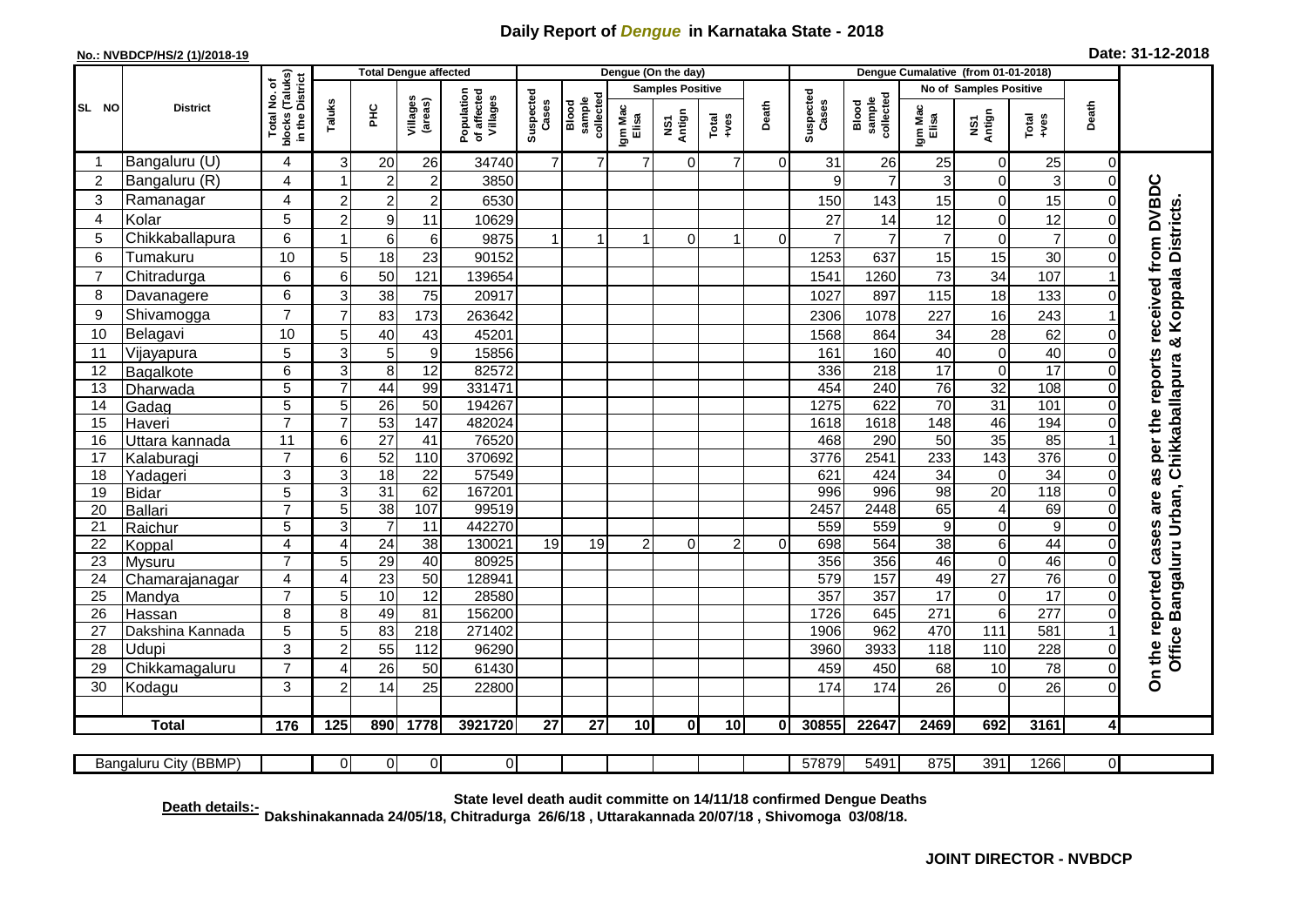## **Daily Report of** *Dengue* **in Karnataka State - 2018**

## **No.: NVBDCP/HS/2 (1)/2018-19**

| Date: 31-12-2018 |  |  |  |  |
|------------------|--|--|--|--|
|------------------|--|--|--|--|

|                 |                           |                                                    |                |                       | <b>Total Dengue affected</b> |                                       | Dengue (On the day) |                              |                  |                         |                 |              |                    | Dengue Cumalative (from 01-01-2018) |                  |                               |                 |                         |                                                              |  |
|-----------------|---------------------------|----------------------------------------------------|----------------|-----------------------|------------------------------|---------------------------------------|---------------------|------------------------------|------------------|-------------------------|-----------------|--------------|--------------------|-------------------------------------|------------------|-------------------------------|-----------------|-------------------------|--------------------------------------------------------------|--|
|                 |                           |                                                    |                |                       |                              |                                       |                     |                              |                  | <b>Samples Positive</b> |                 |              |                    |                                     |                  | <b>No of Samples Positive</b> |                 |                         |                                                              |  |
| SL NO           | <b>District</b>           | Total No. of<br>blocks (Taluks)<br>in the District | Taluks         | 오<br>도                | Villages<br>(areas)          | Population<br>of affected<br>Villages | Suspected<br>Cases  | collected<br>sample<br>Blood | Igm Mac<br>Elisa | Antign<br>Σń            | Total<br>+ves   | Death        | Suspected<br>Cases | collected<br><b>Blood</b><br>sample | Igm Mac<br>Elisa | NS1<br>Antign                 | Total<br>+ves   | Death                   |                                                              |  |
|                 | Bangaluru (U)             | $\overline{4}$                                     | 3              | 20                    | 26                           | 34740                                 | $\overline{7}$      | $\overline{7}$               | $\overline{7}$   | $\mathbf 0$             | $\overline{7}$  | $\Omega$     | 31                 | 26                                  | 25               | $\Omega$                      | 25              | $\Omega$                |                                                              |  |
| $\overline{c}$  | Bangaluru (R)             | $\overline{4}$                                     |                | $\overline{c}$        | $\overline{2}$               | 3850                                  |                     |                              |                  |                         |                 |              | 9                  | $\overline{7}$                      | 3                | $\Omega$                      | 3               | $\bigcap$               |                                                              |  |
| 3               | Ramanagar                 | $\overline{4}$                                     | 2              | $\overline{c}$        | $\overline{2}$               | 6530                                  |                     |                              |                  |                         |                 |              | 150                | 143                                 | 15               | $\Omega$                      | 15              |                         | received from DVBDC                                          |  |
| 4               | Kolar                     | 5                                                  | 2              | $\boldsymbol{9}$      | 11                           | 10629                                 |                     |                              |                  |                         |                 |              | 27                 | 14                                  | 12               | $\mathbf 0$                   | 12              |                         | Office Bangaluru Urban, Chikkaballapura & Koppala Districts. |  |
| 5               | Chikkaballapura           | 6                                                  |                | 6                     | 6                            | 9875                                  | 1                   | 1                            | 1                | $\overline{O}$          | 1               | $\Omega$     | $\overline{7}$     | $\overline{7}$                      | $\overline{7}$   | $\Omega$                      | $\overline{7}$  |                         |                                                              |  |
| 6               | Tumakuru                  | 10                                                 | 5              | 18                    | 23                           | 90152                                 |                     |                              |                  |                         |                 |              | 1253               | 637                                 | 15               | 15                            | 30              |                         |                                                              |  |
| $\overline{7}$  | Chitradurga               | 6                                                  | 6              | 50                    | 121                          | 139654                                |                     |                              |                  |                         |                 |              | 1541               | 1260                                | 73               | 34                            | 107             |                         |                                                              |  |
| 8               | Davanagere                | 6                                                  | 3              | 38                    | 75                           | 20917                                 |                     |                              |                  |                         |                 |              | 1027               | 897                                 | 115              | 18                            | 133             |                         |                                                              |  |
| 9               | Shivamogga                | $\overline{7}$                                     | 7              | 83                    | 173                          | 263642                                |                     |                              |                  |                         |                 |              | 2306               | 1078                                | 227              | 16                            | 243             |                         |                                                              |  |
| 10              | Belagavi                  | 10                                                 | 5              | 40                    | 43                           | 45201                                 |                     |                              |                  |                         |                 |              | 1568               | 864                                 | 34               | 28                            | 62              | ∩                       |                                                              |  |
| 11              | Vijayapura                | 5                                                  | 3              | 5                     | 9                            | 15856                                 |                     |                              |                  |                         |                 |              | 161                | 160                                 | 40               | $\Omega$                      | 40              | O                       |                                                              |  |
| 12              | Bagalkote                 | 6                                                  | 3              | 8                     | 12                           | 82572                                 |                     |                              |                  |                         |                 |              | 336                | 218                                 | 17               | $\Omega$                      | 17              | $\Omega$                | reports                                                      |  |
| 13              | Dharwada                  | $\overline{5}$                                     |                | 44                    | 99                           | 331471                                |                     |                              |                  |                         |                 |              | 454                | $\overline{240}$                    | $\overline{76}$  | $\overline{32}$               | 108             | $\Omega$                |                                                              |  |
| $\overline{14}$ | Gadag                     | $\overline{5}$                                     | 5              | 26                    | 50                           | 194267                                |                     |                              |                  |                         |                 |              | 1275               | 622                                 | 70               | $\overline{31}$               | 101             | $\Omega$                |                                                              |  |
| 15              | Haveri                    | $\overline{7}$                                     | 7              | 53                    | 147                          | 482024                                |                     |                              |                  |                         |                 |              | 1618               | 1618                                | 148              | 46                            | 194             | $\Omega$                |                                                              |  |
| 16              | Uttara kannada            | 11                                                 | 6              | $\overline{27}$       | 41                           | 76520                                 |                     |                              |                  |                         |                 |              | 468                | 290                                 | $\overline{50}$  | $\overline{35}$               | 85              |                         | per the                                                      |  |
| 17              | Kalaburagi                | $\overline{7}$                                     | 6              | 52                    | 110                          | 370692                                |                     |                              |                  |                         |                 |              | 3776               | 2541                                | 233              | 143                           | 376             | $\Omega$                |                                                              |  |
| $\overline{18}$ | Yadageri                  | 3                                                  | 3              | $\overline{18}$       | $\overline{22}$              | 57549                                 |                     |                              |                  |                         |                 |              | 621                | 424                                 | 34               | $\Omega$                      | $\overline{34}$ |                         | as                                                           |  |
| 19              | <b>Bidar</b>              | $\overline{5}$<br>$\overline{7}$                   | 3<br>5         | 31<br>$\overline{38}$ | 62<br>107                    | 167201<br>99519                       |                     |                              |                  |                         |                 |              | 996<br>2457        | 996<br>2448                         | 98<br>65         | 20<br>4                       | 118<br>69       |                         | are                                                          |  |
| 20<br>21        | <b>Ballari</b><br>Raichur | $\overline{5}$                                     | 3              | $\overline{7}$        | $\overline{11}$              | 442270                                |                     |                              |                  |                         |                 |              | 559                | 559                                 | $\overline{9}$   | $\Omega$                      | $\overline{9}$  | $\Omega$                |                                                              |  |
| 22              | Koppal                    | $\overline{4}$                                     | 4              | $\overline{24}$       | $\overline{38}$              | 130021                                | 19                  | $\overline{19}$              | $\overline{2}$   | $\Omega$                | 2               | $\Omega$     | 698                | 564                                 | 38               | 6 <sup>1</sup>                | 44              | $\Omega$                | cases                                                        |  |
| $\overline{23}$ | Mysuru                    | $\overline{7}$                                     | 5              | 29                    | 40                           | 80925                                 |                     |                              |                  |                         |                 |              | 356                | 356                                 | 46               | $\Omega$                      | 46              | $\Omega$                |                                                              |  |
| 24              | Chamarajanagar            | $\overline{\mathbf{4}}$                            | $\overline{A}$ | $\overline{23}$       | 50                           | 128941                                |                     |                              |                  |                         |                 |              | 579                | 157                                 | 49               | 27                            | 76              | $\Omega$                |                                                              |  |
| 25              | Mandya                    | $\overline{7}$                                     | 5              | 10                    | $\overline{12}$              | 28580                                 |                     |                              |                  |                         |                 |              | 357                | 357                                 | $\overline{17}$  | $\Omega$                      | $\overline{17}$ | $\Omega$                |                                                              |  |
| $\overline{26}$ | Hassan                    | 8                                                  | 8              | 49                    | $\overline{81}$              | 156200                                |                     |                              |                  |                         |                 |              | 1726               | 645                                 | 271              | 6                             | 277             | $\Omega$                | reported                                                     |  |
| 27              | Dakshina Kannada          | $\overline{5}$                                     | 5              | 83                    | $\overline{218}$             | 271402                                |                     |                              |                  |                         |                 |              | 1906               | 962                                 | 470              | 111                           | 581             |                         |                                                              |  |
| 28              | Udupi                     | 3                                                  | 2              | 55                    | 112                          | 96290                                 |                     |                              |                  |                         |                 |              | 3960               | 3933                                | 118              | 110                           | 228             | ი                       |                                                              |  |
| 29              | Chikkamagaluru            | $\overline{7}$                                     |                | 26                    | 50                           | 61430                                 |                     |                              |                  |                         |                 |              | 459                | 450                                 | 68               | 10                            | 78              | 0                       | On the                                                       |  |
| 30              | Kodagu                    | 3                                                  | 2              | 14                    | $\overline{25}$              | 22800                                 |                     |                              |                  |                         |                 |              | 174                | 174                                 | 26               | $\Omega$                      | $\overline{26}$ | $\Omega$                |                                                              |  |
|                 | <b>Total</b>              | 176                                                | 125            | 890                   | 1778                         | 3921720                               | 27                  | $\overline{27}$              | 10 <sup>1</sup>  | $\mathbf{0}$            | 10 <sup>1</sup> | $\mathbf{0}$ | 30855              | 22647                               | 2469             | 692                           | 3161            | $\overline{\mathbf{4}}$ |                                                              |  |
|                 |                           |                                                    |                |                       |                              |                                       |                     |                              |                  |                         |                 |              |                    |                                     |                  |                               |                 |                         |                                                              |  |
|                 | Bangaluru City (BBMP)     |                                                    | $\Omega$       | $\Omega$              | $\overline{0}$               | $\overline{0}$                        |                     |                              |                  |                         |                 |              | 57879              | 5491                                | 875              | 391                           | 1266            | $\overline{\mathbf{0}}$ |                                                              |  |

**Death details:- State level death audit committe on 14/11/18 confirmed Dengue Deaths Dakshinakannada 24/05/18, Chitradurga 26/6/18 , Uttarakannada 20/07/18 , Shivomoga 03/08/18.**